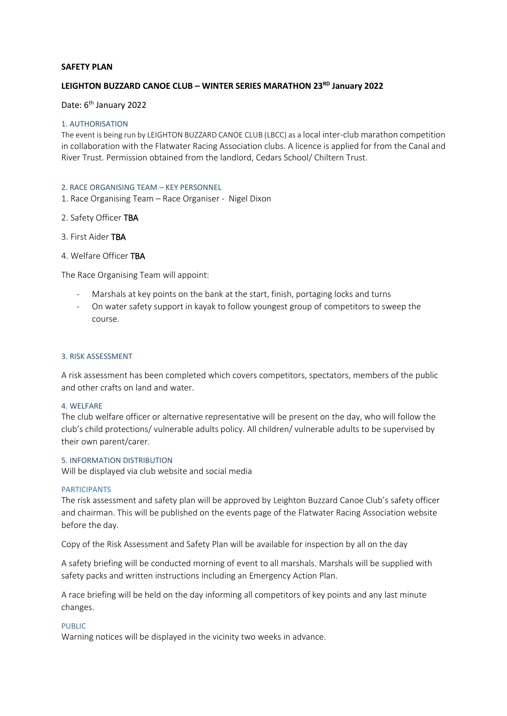### **SAFETY PLAN**

# **LEIGHTON BUZZARD CANOE CLUB – WINTER SERIES MARATHON 23RD January 2022**

# Date: 6<sup>th</sup> January 2022

## 1. AUTHORISATION

The event is being run by LEIGHTON BUZZARD CANOE CLUB (LBCC) as a local inter-club marathon competition in collaboration with the Flatwater Racing Association clubs. A licence is applied for from the Canal and River Trust. Permission obtained from the landlord, Cedars School/ Chiltern Trust.

### 2. RACE ORGANISING TEAM – KEY PERSONNEL

1. Race Organising Team – Race Organiser - Nigel Dixon

## 2. Safety Officer TBA

3. First Aider TBA

## 4. Welfare Officer TBA

The Race Organising Team will appoint:

- Marshals at key points on the bank at the start, finish, portaging locks and turns
- On water safety support in kayak to follow youngest group of competitors to sweep the course.

#### 3. RISK ASSESSMENT

A risk assessment has been completed which covers competitors, spectators, members of the public and other crafts on land and water.

### 4. WELFARE

The club welfare officer or alternative representative will be present on the day, who will follow the club's child protections/ vulnerable adults policy. All children/ vulnerable adults to be supervised by their own parent/carer.

## 5. INFORMATION DISTRIBUTION

Will be displayed via club website and social media

### PARTICIPANTS

The risk assessment and safety plan will be approved by Leighton Buzzard Canoe Club's safety officer and chairman. This will be published on the events page of the Flatwater Racing Association website before the day.

Copy of the Risk Assessment and Safety Plan will be available for inspection by all on the day

A safety briefing will be conducted morning of event to all marshals. Marshals will be supplied with safety packs and written instructions including an Emergency Action Plan.

A race briefing will be held on the day informing all competitors of key points and any last minute changes.

### PUBLIC

Warning notices will be displayed in the vicinity two weeks in advance.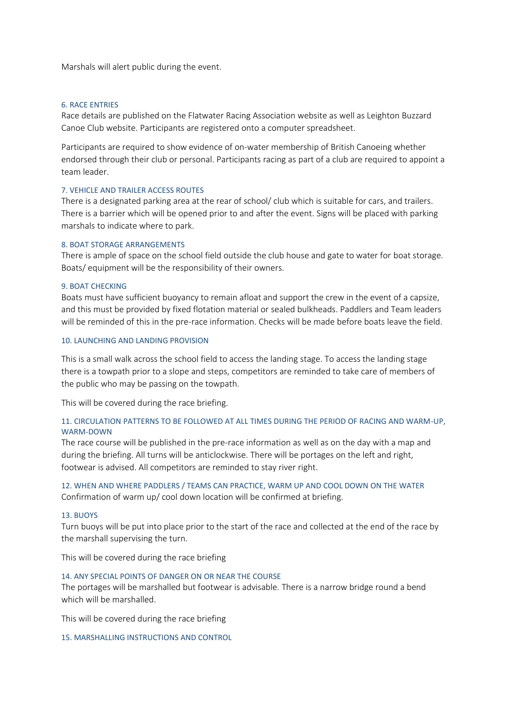Marshals will alert public during the event.

### 6. RACE ENTRIES

Race details are published on the Flatwater Racing Association website as well as Leighton Buzzard Canoe Club website. Participants are registered onto a computer spreadsheet.

Participants are required to show evidence of on-water membership of British Canoeing whether endorsed through their club or personal. Participants racing as part of a club are required to appoint a team leader.

## 7. VEHICLE AND TRAILER ACCESS ROUTES

There is a designated parking area at the rear of school/ club which is suitable for cars, and trailers. There is a barrier which will be opened prior to and after the event. Signs will be placed with parking marshals to indicate where to park.

#### 8. BOAT STORAGE ARRANGEMENTS

There is ample of space on the school field outside the club house and gate to water for boat storage. Boats/ equipment will be the responsibility of their owners.

#### 9. BOAT CHECKING

Boats must have sufficient buoyancy to remain afloat and support the crew in the event of a capsize, and this must be provided by fixed flotation material or sealed bulkheads. Paddlers and Team leaders will be reminded of this in the pre-race information. Checks will be made before boats leave the field.

### 10. LAUNCHING AND LANDING PROVISION

This is a small walk across the school field to access the landing stage. To access the landing stage there is a towpath prior to a slope and steps, competitors are reminded to take care of members of the public who may be passing on the towpath.

This will be covered during the race briefing.

## 11. CIRCULATION PATTERNS TO BE FOLLOWED AT ALL TIMES DURING THE PERIOD OF RACING AND WARM-UP, WARM-DOWN

The race course will be published in the pre-race information as well as on the day with a map and during the briefing. All turns will be anticlockwise. There will be portages on the left and right, footwear is advised. All competitors are reminded to stay river right.

## 12. WHEN AND WHERE PADDLERS / TEAMS CAN PRACTICE, WARM UP AND COOL DOWN ON THE WATER Confirmation of warm up/ cool down location will be confirmed at briefing.

#### 13. BUOYS

Turn buoys will be put into place prior to the start of the race and collected at the end of the race by the marshall supervising the turn.

This will be covered during the race briefing

### 14. ANY SPECIAL POINTS OF DANGER ON OR NEAR THE COURSE

The portages will be marshalled but footwear is advisable. There is a narrow bridge round a bend which will be marshalled.

This will be covered during the race briefing

15. MARSHALLING INSTRUCTIONS AND CONTROL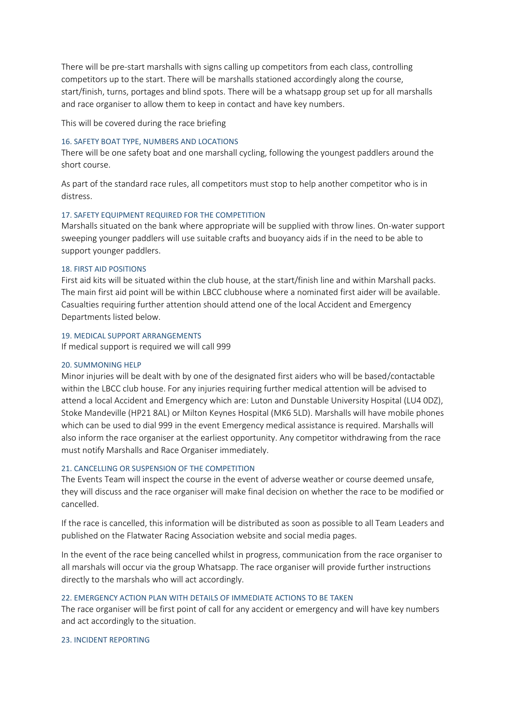There will be pre-start marshalls with signs calling up competitors from each class, controlling competitors up to the start. There will be marshalls stationed accordingly along the course, start/finish, turns, portages and blind spots. There will be a whatsapp group set up for all marshalls and race organiser to allow them to keep in contact and have key numbers.

This will be covered during the race briefing

#### 16. SAFETY BOAT TYPE, NUMBERS AND LOCATIONS

There will be one safety boat and one marshall cycling, following the youngest paddlers around the short course.

As part of the standard race rules, all competitors must stop to help another competitor who is in distress.

#### 17. SAFETY EQUIPMENT REQUIRED FOR THE COMPETITION

Marshalls situated on the bank where appropriate will be supplied with throw lines. On-water support sweeping younger paddlers will use suitable crafts and buoyancy aids if in the need to be able to support younger paddlers.

#### 18. FIRST AID POSITIONS

First aid kits will be situated within the club house, at the start/finish line and within Marshall packs. The main first aid point will be within LBCC clubhouse where a nominated first aider will be available. Casualties requiring further attention should attend one of the local Accident and Emergency Departments listed below.

### 19. MEDICAL SUPPORT ARRANGEMENTS

If medical support is required we will call 999

### 20. SUMMONING HELP

Minor injuries will be dealt with by one of the designated first aiders who will be based/contactable within the LBCC club house. For any injuries requiring further medical attention will be advised to attend a local Accident and Emergency which are: Luton and Dunstable University Hospital (LU4 0DZ), Stoke Mandeville (HP21 8AL) or Milton Keynes Hospital (MK6 5LD). Marshalls will have mobile phones which can be used to dial 999 in the event Emergency medical assistance is required. Marshalls will also inform the race organiser at the earliest opportunity. Any competitor withdrawing from the race must notify Marshalls and Race Organiser immediately.

## 21. CANCELLING OR SUSPENSION OF THE COMPETITION

The Events Team will inspect the course in the event of adverse weather or course deemed unsafe, they will discuss and the race organiser will make final decision on whether the race to be modified or cancelled.

If the race is cancelled, this information will be distributed as soon as possible to all Team Leaders and published on the Flatwater Racing Association website and social media pages.

In the event of the race being cancelled whilst in progress, communication from the race organiser to all marshals will occur via the group Whatsapp. The race organiser will provide further instructions directly to the marshals who will act accordingly.

### 22. EMERGENCY ACTION PLAN WITH DETAILS OF IMMEDIATE ACTIONS TO BE TAKEN

The race organiser will be first point of call for any accident or emergency and will have key numbers and act accordingly to the situation.

#### 23. INCIDENT REPORTING